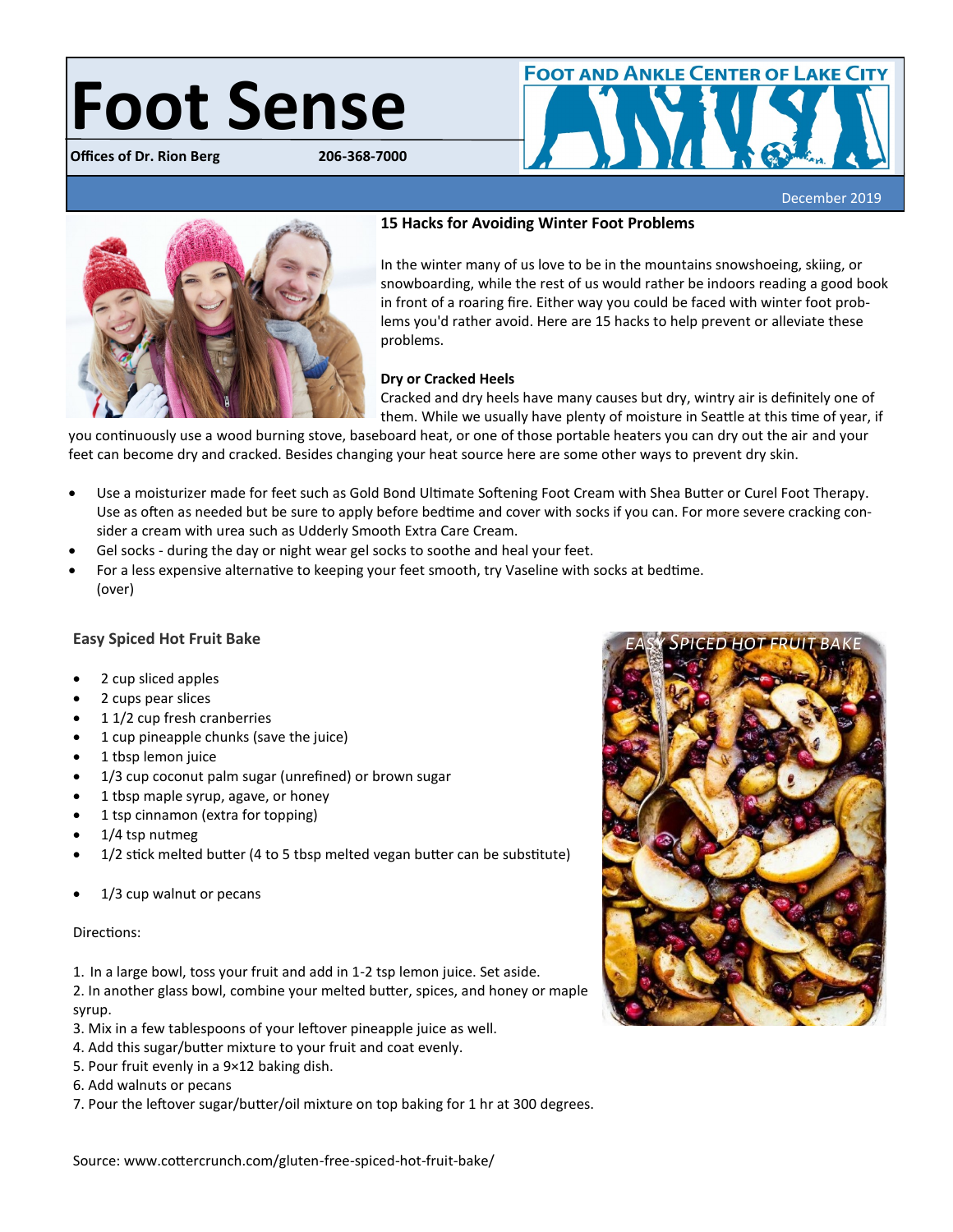# **Foot Sense**

**Offices of Dr. Rion Berg** 



December 2019



#### **15 Hacks for Avoiding Winter Foot Problems**

In the winter many of us love to be in the mountains snowshoeing, skiing, or snowboarding, while the rest of us would rather be indoors reading a good book in front of a roaring fire. Either way you could be faced with winter foot problems you'd rather avoid. Here are 15 hacks to help prevent or alleviate these problems.

## **Dry or Cracked Heels**

Cracked and dry heels have many causes but dry, wintry air is definitely one of them. While we usually have plenty of moisture in Seattle at this time of year, if

you continuously use a wood burning stove, baseboard heat, or one of those portable heaters you can dry out the air and your feet can become dry and cracked. Besides changing your heat source here are some other ways to prevent dry skin.

- Use a moisturizer made for feet such as Gold Bond Ultimate Softening Foot Cream with Shea Butter or Curel Foot Therapy. Use as often as needed but be sure to apply before bedtime and cover with socks if you can. For more severe cracking consider a cream with urea such as Udderly Smooth Extra Care Cream.
- Gel socks during the day or night wear gel socks to soothe and heal your feet.
- For a less expensive alternative to keeping your feet smooth, try Vaseline with socks at bedtime. (over)

#### **Easy Spiced Hot Fruit Bake**

- 2 cup sliced apples
- 2 cups pear slices
- 1 1/2 cup fresh cranberries
- 1 cup pineapple chunks (save the juice)
- 1 tbsp lemon juice
- 1/3 cup coconut palm sugar (unrefined) or brown sugar
- 1 tbsp maple syrup, agave, or honey
- 1 tsp cinnamon (extra for topping)
- 1/4 tsp nutmeg
- 1/2 stick melted butter (4 to 5 tbsp melted vegan butter can be substitute)
- 1/3 cup walnut or pecans

#### Directions:

1. In a large bowl, toss your fruit and add in 1-2 tsp lemon juice. Set aside.

2. In another glass bowl, combine your melted butter, spices, and honey or maple syrup.

- 3. Mix in a few tablespoons of your leftover pineapple juice as well.
- 4. Add this sugar/butter mixture to your fruit and coat evenly.
- 5. Pour fruit evenly in a 9×12 baking dish.

6. Add walnuts or pecans

7. Pour the leftover sugar/butter/oil mixture on top baking for 1 hr at 300 degrees.